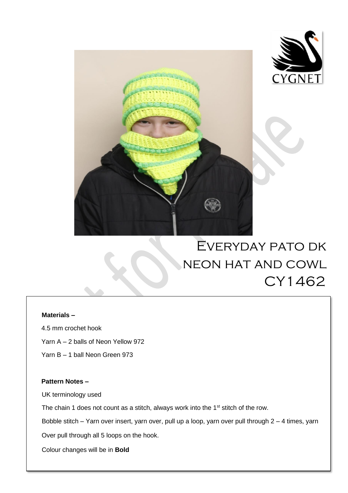



 $\overline{a}$ 

# Everyday pato dk neon hat and cowl CY1462

#### **Materials –**

4.5 mm crochet hook

- Yarn A 2 balls of Neon Yellow 972
- Yarn B 1 ball Neon Green 973

### **Pattern Notes –**

UK terminology used

The chain 1 does not count as a stitch, always work into the 1<sup>st</sup> stitch of the row.

Bobble stitch – Yarn over insert, yarn over, pull up a loop, yarn over pull through 2 – 4 times, yarn

Over pull through all 5 loops on the hook.

Colour changes will be in **Bold**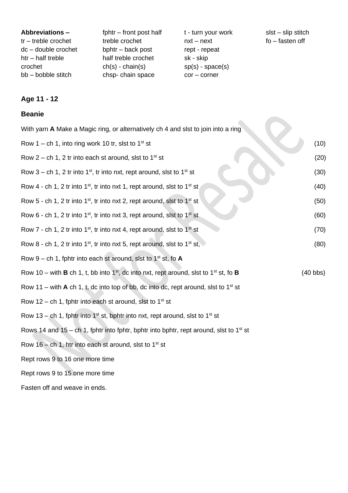| fphtr – front post half<br>Abbreviations -<br>treble crochet<br>$tr - treble$ crochet<br>$dc - double crochet$<br>bphtr – back post<br>half treble crochet<br>$h$ tr – half treble<br>$ch(s)$ - $chain(s)$<br>crochet<br>chsp-chain space<br>bb - bobble stitch | $slst - slip$ stitch<br>t - turn your work<br>$fo$ – fasten off<br>$nxt - next$<br>rept - repeat<br>sk - skip<br>$sp(s)$ - space(s)<br>$cor$ – corner |
|-----------------------------------------------------------------------------------------------------------------------------------------------------------------------------------------------------------------------------------------------------------------|-------------------------------------------------------------------------------------------------------------------------------------------------------|
|-----------------------------------------------------------------------------------------------------------------------------------------------------------------------------------------------------------------------------------------------------------------|-------------------------------------------------------------------------------------------------------------------------------------------------------|

## **Age 11 - 12**

## **Beanie**

| With yarn A Make a Magic ring, or alternatively ch 4 and slst to join into a ring                                           |                    |  |
|-----------------------------------------------------------------------------------------------------------------------------|--------------------|--|
| Row 1 – ch 1, into ring work 10 tr, slst to 1 <sup>st</sup> st                                                              | (10)               |  |
| Row 2 – ch 1, 2 tr into each st around, slst to $1st$ st                                                                    | (20)               |  |
| Row 3 – ch 1, 2 tr into 1 <sup>st</sup> , tr into nxt, rept around, slst to 1 <sup>st</sup> st                              | (30)               |  |
| Row 4 - ch 1, 2 tr into $1^{st}$ , tr into nxt 1, rept around, slst to $1^{st}$ st                                          | (40)               |  |
| Row 5 - ch 1, 2 tr into 1 <sup>st</sup> , tr into nxt 2, rept around, slst to 1 <sup>st</sup> st                            | (50)               |  |
| Row 6 - ch 1, 2 tr into 1 <sup>st</sup> , tr into nxt 3, rept around, slst to 1 <sup>st</sup> st                            | (60)               |  |
| Row 7 - ch 1, 2 tr into $1st$ , tr into nxt 4, rept around, slst to $1st$ st                                                | (70)               |  |
| Row 8 - ch 1, 2 tr into 1 <sup>st</sup> , tr into nxt 5, rept around, slst to 1 <sup>st</sup> st,                           | (80)               |  |
| Row 9 – ch 1, fphtr into each st around, slst to 1 <sup>st</sup> st, fo <b>A</b>                                            |                    |  |
| Row 10 – with <b>B</b> ch 1, t, bb into 1 <sup>st</sup> , dc into nxt, rept around, slst to 1 <sup>st</sup> st, fo <b>B</b> | $(40 \text{ bbs})$ |  |
| Row 11 – with $A$ ch 1, t, dc into top of bb, dc into dc, rept around, slst to 1 <sup>st</sup> st                           |                    |  |
| Row 12 – ch 1, fphtr into each st around, slst to 1 <sup>st</sup> st                                                        |                    |  |
| Row 13 – ch 1, fphtr into 1 <sup>st</sup> st, bphtr into nxt, rept around, slst to 1 <sup>st</sup> st                       |                    |  |
| Rows 14 and 15 – ch 1, fphtr into fphtr, bphtr into bphtr, rept around, slst to 1 <sup>st</sup> st                          |                    |  |
| Row 16 – ch 1, htr into each st around, slst to $1st$ st                                                                    |                    |  |
| Rept rows 9 to 16 one more time                                                                                             |                    |  |
| Rept rows 9 to 15 one more time                                                                                             |                    |  |
|                                                                                                                             |                    |  |

Fasten off and weave in ends.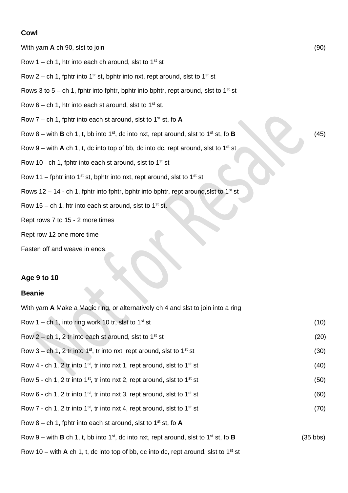#### **Cowl**

With yarn **A** ch 90, slst to join (90)

- Row 1 ch 1, htr into each ch around, slst to  $1^{st}$  st
- Row 2 ch 1, fphtr into 1<sup>st</sup> st, bphtr into nxt, rept around, slst to 1<sup>st</sup> st
- Rows 3 to 5 ch 1, fphtr into fphtr, bphtr into bphtr, rept around, slst to 1<sup>st</sup> st
- Row  $6 ch 1$ , htr into each st around, slst to  $1<sup>st</sup> st$ .
- Row  $7$  ch 1, fphtr into each st around, slst to 1<sup>st</sup> st, fo **A**
- Row  $8$  with **B** ch 1, t, bb into 1<sup>st</sup>, dc into nxt, rept around, slst to 1<sup>st</sup> st, fo **B** (45)
- Row 9 with  $A$  ch 1, t, dc into top of bb, dc into dc, rept around, slst to 1<sup>st</sup> st
- Row 10 ch 1, fphtr into each st around, slst to  $1^{st}$  st
- Row 11 fphtr into 1<sup>st</sup> st, bphtr into nxt, rept around, slst to 1<sup>st</sup> st
- Rows 12 14 ch 1, fphtr into fphtr, bphtr into bphtr, rept around, slst to 1<sup>st</sup> st
- Row 15 ch 1, htr into each st around, slst to  $1<sup>st</sup>$  st.
- Rept rows 7 to 15 2 more times
- Rept row 12 one more time
- Fasten off and weave in ends.

#### **Age 9 to 10**

#### **Beanie**

With yarn **A** Make a Magic ring, or alternatively ch 4 and slst to join into a ring

| Row 1 – ch 1, into ring work 10 tr, slst to $1^{st}$ st                                                                    | (10) |
|----------------------------------------------------------------------------------------------------------------------------|------|
| Row 2 – ch 1, 2 tr into each st around, slst to $1st$ st                                                                   | (20) |
| Row 3 – ch 1, 2 tr into 1 <sup>st</sup> , tr into nxt, rept around, slst to 1 <sup>st</sup> st                             | (30) |
| Row 4 - ch 1, 2 tr into 1 <sup>st</sup> , tr into nxt 1, rept around, slst to 1 <sup>st</sup> st                           | (40) |
| Row 5 - ch 1, 2 tr into 1 <sup>st</sup> , tr into nxt 2, rept around, slst to 1 <sup>st</sup> st                           | (50) |
| Row 6 - ch 1, 2 tr into 1 <sup>st</sup> , tr into nxt 3, rept around, slst to 1 <sup>st</sup> st                           | (60) |
| Row 7 - ch 1, 2 tr into 1 <sup>st</sup> , tr into nxt 4, rept around, slst to 1 <sup>st</sup> st                           | (70) |
| Row 8 – ch 1, fphtr into each st around, slst to 1 <sup>st</sup> st, fo <b>A</b>                                           |      |
| Row 9 – with <b>B</b> ch 1, t, bb into 1 <sup>st</sup> , dc into nxt, rept around, slst to 1 <sup>st</sup> st, fo <b>B</b> |      |
| Row 10 – with <b>A</b> ch 1, t, dc into top of bb, dc into dc, rept around, slst to 1 <sup>st</sup> st                     |      |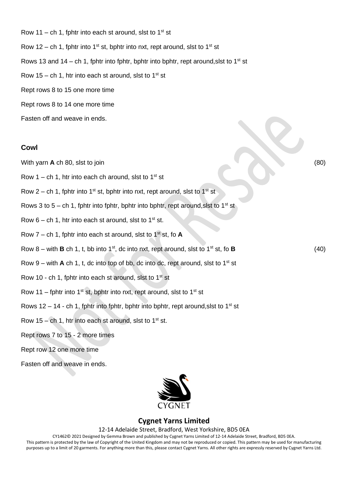Row 11 – ch 1, fphtr into each st around, slst to  $1^{st}$  st Row 12 – ch 1, fphtr into 1<sup>st</sup> st, bphtr into nxt, rept around, slst to 1<sup>st</sup> st Rows 13 and 14 – ch 1, fphtr into fphtr, bphtr into bphtr, rept around, slst to 1<sup>st</sup> st Row 15 – ch 1, htr into each st around, slst to 1<sup>st</sup> st Rept rows 8 to 15 one more time Rept rows 8 to 14 one more time Fasten off and weave in ends.

#### **Cowl**

- With yarn **A** ch 80, slst to join (80)
- Row 1 ch 1, htr into each ch around, slst to  $1^{st}$  st
- Row 2 ch 1, fphtr into 1<sup>st</sup> st, bphtr into nxt, rept around, slst to 1<sup>st</sup> st
- Rows 3 to 5 ch 1, fphtr into fphtr, bphtr into bphtr, rept around, slst to 1<sup>st</sup> st
- Row  $6$  ch 1, htr into each st around, slst to  $1<sup>st</sup>$  st.
- Row  $7$  ch 1, fphtr into each st around, slst to  $1<sup>st</sup>$  st, fo **A**
- Row  $8$  with **B** ch 1, t, bb into 1<sup>st</sup>, dc into nxt, rept around, slst to 1<sup>st</sup> st, fo **B** (40)
- Row 9 with  $A$  ch 1, t, dc into top of bb, dc into dc, rept around, slst to 1<sup>st</sup> st
- Row 10 ch 1, fphtr into each st around, slst to  $1<sup>st</sup>$  st
- Row 11 fphtr into 1<sup>st</sup> st, bphtr into nxt, rept around, slst to 1<sup>st</sup> st
- Rows 12 14 ch 1, fphtr into fphtr, bphtr into bphtr, rept around, slst to 1<sup>st</sup> st
- Row 15 ch 1, htr into each st around, slst to  $1<sup>st</sup>$  st.
- Rept rows 7 to 15 2 more times
- Rept row 12 one more time
- Fasten off and weave in ends.



### **Cygnet Yarns Limited**

#### 12-14 Adelaide Street, Bradford, West Yorkshire, BD5 0EA

CY1462© 2021 Designed by Gemma Brown and published by Cygnet Yarns Limited of 12-14 Adelaide Street, Bradford, BD5 0EA. This pattern is protected by the law of Copyright of the United Kingdom and may not be reproduced or copied. This pattern may be used for manufacturing

purposes up to a limit of 20 garments. For anything more than this, please contact Cygnet Yarns. All other rights are expressly reserved by Cygnet Yarns Ltd.